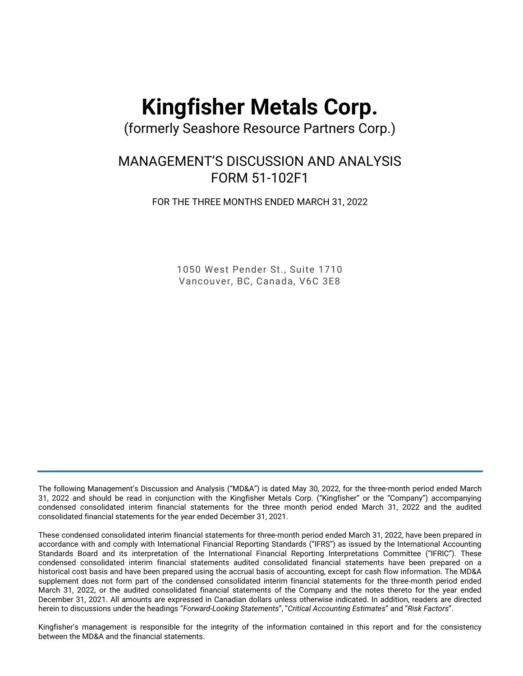# **Kingfisher Metals Corp.**

(formerly Seashore Resource Partners Corp.)

## MANAGEMENT'S DISCUSSION AND ANALYSIS FORM 51-102F1

FOR THE THREE MONTHS ENDED MARCH 31, 2022

1050 West Pender St., Suite 1710 Vancouver, BC, Canada, V6C 3E8

The following Management's Discussion and Analysis ("MD&A") is dated May 30, 2022, for the three-month period ended March 31, 2022 and should be read in conjunction with the Kingfisher Metals Corp. ("Kingfisher" or the "Company") accompanying condensed consolidated interim financial statements for the three month period ended March 31, 2022 and the audited consolidated financial statements for the year ended December 31, 2021.

These condensed consolidated interim financial statements for three-month period ended March 31, 2022, have been prepared in accordance with and comply with International Financial Reporting Standards ("IFRS") as issued by the International Accounting Standards Board and its interpretation of the International Financial Reporting Interpretations Committee ("IFRIC"). These condensed consolidated interim financial statements audited consolidated financial statements have been prepared on a historical cost basis and have been prepared using the accrual basis of accounting, except for cash flow information. The MD&A supplement does not form part of the condensed consolidated interim financial statements for the three-month period ended March 31, 2022, or the audited consolidated financial statements of the Company and the notes thereto for the year ended December 31, 2021. All amounts are expressed in Canadian dollars unless otherwise indicated. In addition, readers are directed herein to discussions under the headings "*Forward-Looking Statements*", "*Critical Accounting Estimates*" and "*Risk Factors*".

Kingfisher's management is responsible for the integrity of the information contained in this report and for the consistency between the MD&A and the financial statements.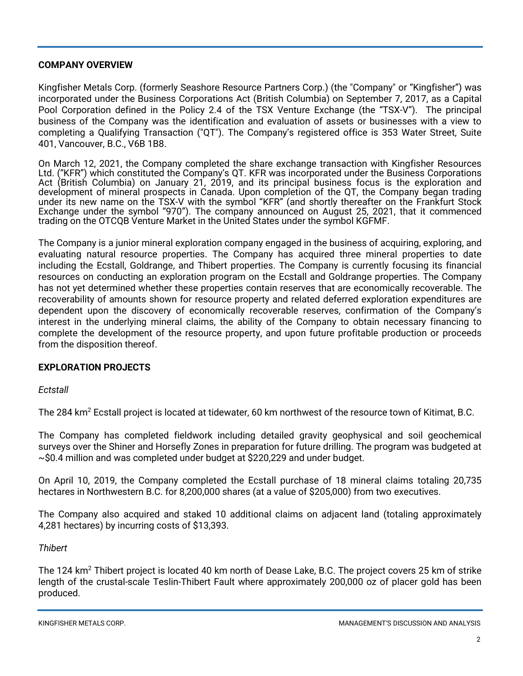#### **COMPANY OVERVIEW**

Kingfisher Metals Corp. (formerly Seashore Resource Partners Corp.) (the "Company" or "Kingfisher") was incorporated under the Business Corporations Act (British Columbia) on September 7, 2017, as a Capital Pool Corporation defined in the Policy 2.4 of the TSX Venture Exchange (the "TSX-V"). The principal business of the Company was the identification and evaluation of assets or businesses with a view to completing a Qualifying Transaction ("QT"). The Company's registered office is 353 Water Street, Suite 401, Vancouver, B.C., V6B 1B8.

On March 12, 2021, the Company completed the share exchange transaction with Kingfisher Resources Ltd. ("KFR") which constituted the Company's QT. KFR was incorporated under the Business Corporations Act (British Columbia) on January 21, 2019, and its principal business focus is the exploration and development of mineral prospects in Canada. Upon completion of the QT, the Company began trading under its new name on the TSX-V with the symbol "KFR" (and shortly thereafter on the Frankfurt Stock Exchange under the symbol "970"). The company announced on August 25, 2021, that it commenced trading on the OTCQB Venture Market in the United States under the symbol KGFMF.

The Company is a junior mineral exploration company engaged in the business of acquiring, exploring, and evaluating natural resource properties. The Company has acquired three mineral properties to date including the Ecstall, Goldrange, and Thibert properties. The Company is currently focusing its financial resources on conducting an exploration program on the Ecstall and Goldrange properties. The Company has not yet determined whether these properties contain reserves that are economically recoverable. The recoverability of amounts shown for resource property and related deferred exploration expenditures are dependent upon the discovery of economically recoverable reserves, confirmation of the Company's interest in the underlying mineral claims, the ability of the Company to obtain necessary financing to complete the development of the resource property, and upon future profitable production or proceeds from the disposition thereof.

#### **EXPLORATION PROJECTS**

*Ectstall*

The 284 km<sup>2</sup> Ecstall project is located at tidewater, 60 km northwest of the resource town of Kitimat, B.C.

The Company has completed fieldwork including detailed gravity geophysical and soil geochemical surveys over the Shiner and Horsefly Zones in preparation for future drilling. The program was budgeted at  $\sim$ \$0.4 million and was completed under budget at \$220,229 and under budget.

On April 10, 2019, the Company completed the Ecstall purchase of 18 mineral claims totaling 20,735 hectares in Northwestern B.C. for 8,200,000 shares (at a value of \$205,000) from two executives.

The Company also acquired and staked 10 additional claims on adjacent land (totaling approximately 4,281 hectares) by incurring costs of \$13,393.

#### *Thibert*

The 124 km<sup>2</sup> Thibert project is located 40 km north of Dease Lake, B.C. The project covers 25 km of strike length of the crustal-scale Teslin-Thibert Fault where approximately 200,000 oz of placer gold has been produced.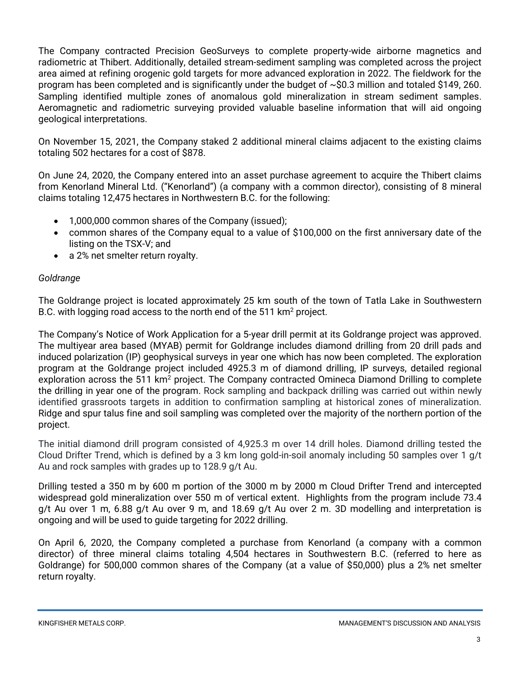The Company contracted Precision GeoSurveys to complete property-wide airborne magnetics and radiometric at Thibert. Additionally, detailed stream-sediment sampling was completed across the project area aimed at refining orogenic gold targets for more advanced exploration in 2022. The fieldwork for the program has been completed and is significantly under the budget of ~\$0.3 million and totaled \$149, 260. Sampling identified multiple zones of anomalous gold mineralization in stream sediment samples. Aeromagnetic and radiometric surveying provided valuable baseline information that will aid ongoing geological interpretations.

On November 15, 2021, the Company staked 2 additional mineral claims adjacent to the existing claims totaling 502 hectares for a cost of \$878.

On June 24, 2020, the Company entered into an asset purchase agreement to acquire the Thibert claims from Kenorland Mineral Ltd. ("Kenorland") (a company with a common director), consisting of 8 mineral claims totaling 12,475 hectares in Northwestern B.C. for the following:

- 1,000,000 common shares of the Company (issued);
- common shares of the Company equal to a value of \$100,000 on the first anniversary date of the listing on the TSX-V; and
- a 2% net smelter return royalty.

### *Goldrange*

The Goldrange project is located approximately 25 km south of the town of Tatla Lake in Southwestern B.C. with logging road access to the north end of the 511 km<sup>2</sup> project.

The Company's Notice of Work Application for a 5-year drill permit at its Goldrange project was approved. The multiyear area based (MYAB) permit for Goldrange includes diamond drilling from 20 drill pads and induced polarization (IP) geophysical surveys in year one which has now been completed. The exploration program at the Goldrange project included 4925.3 m of diamond drilling, IP surveys, detailed regional exploration across the 511 km<sup>2</sup> project. The Company contracted Omineca Diamond Drilling to complete the drilling in year one of the program. Rock sampling and backpack drilling was carried out within newly identified grassroots targets in addition to confirmation sampling at historical zones of mineralization. Ridge and spur talus fine and soil sampling was completed over the majority of the northern portion of the project.

The initial diamond drill program consisted of 4,925.3 m over 14 drill holes. Diamond drilling tested the Cloud Drifter Trend, which is defined by a 3 km long gold-in-soil anomaly including 50 samples over 1 g/t Au and rock samples with grades up to 128.9 g/t Au.

Drilling tested a 350 m by 600 m portion of the 3000 m by 2000 m Cloud Drifter Trend and intercepted widespread gold mineralization over 550 m of vertical extent. Highlights from the program include 73.4 g/t Au over 1 m, 6.88 g/t Au over 9 m, and 18.69 g/t Au over 2 m. 3D modelling and interpretation is ongoing and will be used to guide targeting for 2022 drilling.

On April 6, 2020, the Company completed a purchase from Kenorland (a company with a common director) of three mineral claims totaling 4,504 hectares in Southwestern B.C. (referred to here as Goldrange) for 500,000 common shares of the Company (at a value of \$50,000) plus a 2% net smelter return royalty.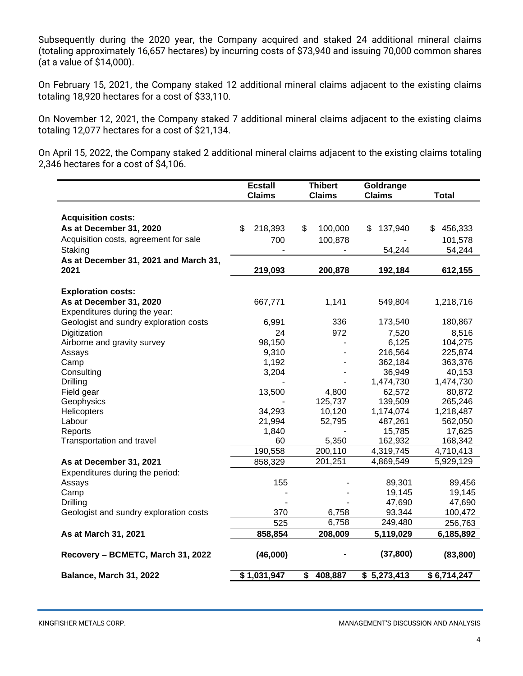Subsequently during the 2020 year, the Company acquired and staked 24 additional mineral claims (totaling approximately 16,657 hectares) by incurring costs of \$73,940 and issuing 70,000 common shares (at a value of \$14,000).

On February 15, 2021, the Company staked 12 additional mineral claims adjacent to the existing claims totaling 18,920 hectares for a cost of \$33,110.

On November 12, 2021, the Company staked 7 additional mineral claims adjacent to the existing claims totaling 12,077 hectares for a cost of \$21,134.

On April 15, 2022, the Company staked 2 additional mineral claims adjacent to the existing claims totaling 2,346 hectares for a cost of \$4,106.

|                                        | <b>Ecstall</b><br><b>Claims</b> | <b>Thibert</b><br><b>Claims</b> | Goldrange<br><b>Claims</b> | <b>Total</b>  |
|----------------------------------------|---------------------------------|---------------------------------|----------------------------|---------------|
|                                        |                                 |                                 |                            |               |
| <b>Acquisition costs:</b>              |                                 |                                 |                            |               |
| As at December 31, 2020                | \$<br>218,393                   | \$<br>100,000                   | 137,940<br>\$              | 456,333<br>\$ |
| Acquisition costs, agreement for sale  | 700                             | 100,878                         |                            | 101,578       |
| Staking                                |                                 |                                 | 54,244                     | 54,244        |
| As at December 31, 2021 and March 31,  |                                 |                                 |                            |               |
| 2021                                   | 219,093                         | 200,878                         | 192,184                    | 612,155       |
|                                        |                                 |                                 |                            |               |
| <b>Exploration costs:</b>              |                                 |                                 |                            |               |
| As at December 31, 2020                | 667,771                         | 1,141                           | 549,804                    | 1,218,716     |
| Expenditures during the year:          |                                 |                                 |                            |               |
| Geologist and sundry exploration costs | 6,991                           | 336                             | 173,540                    | 180,867       |
| Digitization                           | 24                              | 972                             | 7,520                      | 8,516         |
| Airborne and gravity survey            | 98,150                          |                                 | 6,125                      | 104,275       |
| Assays                                 | 9,310                           |                                 | 216,564                    | 225,874       |
| Camp                                   | 1,192                           |                                 | 362,184                    | 363,376       |
| Consulting                             | 3,204                           |                                 | 36,949                     | 40,153        |
| <b>Drilling</b>                        |                                 |                                 | 1,474,730                  | 1,474,730     |
| Field gear                             | 13,500                          | 4,800                           | 62,572                     | 80,872        |
| Geophysics                             |                                 | 125,737                         | 139,509                    | 265,246       |
| Helicopters                            | 34,293                          | 10,120                          | 1,174,074                  | 1,218,487     |
| Labour                                 | 21,994                          | 52,795                          | 487,261                    | 562,050       |
| Reports                                | 1,840                           |                                 | 15,785                     | 17,625        |
| Transportation and travel              | 60                              | 5,350                           | 162,932                    | 168,342       |
|                                        | 190,558                         | 200,110                         | 4,319,745                  | 4,710,413     |
| As at December 31, 2021                | 858,329                         | 201,251                         | 4,869,549                  | 5,929,129     |
| Expenditures during the period:        |                                 |                                 |                            |               |
| Assays                                 | 155                             |                                 | 89,301                     | 89,456        |
| Camp                                   |                                 |                                 | 19,145                     | 19,145        |
| <b>Drilling</b>                        |                                 |                                 | 47,690                     | 47,690        |
| Geologist and sundry exploration costs | 370                             | 6,758                           | 93,344                     | 100,472       |
|                                        | 525                             | 6,758                           | 249,480                    | 256,763       |
| As at March 31, 2021                   | 858,854                         | 208,009                         | 5,119,029                  | 6,185,892     |
| Recovery - BCMETC, March 31, 2022      | (46,000)                        |                                 | (37, 800)                  | (83, 800)     |
| Balance, March 31, 2022                | \$1,031,947                     | \$<br>408,887                   | \$5,273,413                | \$6,714,247   |

KINGFISHER METALS CORP. MANAGEMENT'S DISCUSSION AND ANALYSIS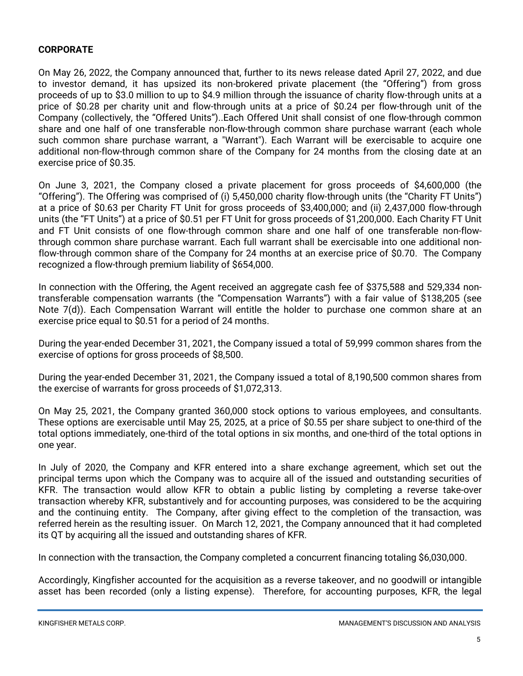#### **CORPORATE**

On May 26, 2022, the Company announced that, further to its news release dated April 27, 2022, and due to investor demand, it has upsized its non-brokered private placement (the "Offering") from gross proceeds of up to \$3.0 million to up to \$4.9 million through the issuance of charity flow-through units at a price of \$0.28 per charity unit and flow-through units at a price of \$0.24 per flow-through unit of the Company (collectively, the "Offered Units")..Each Offered Unit shall consist of one flow-through common share and one half of one transferable non-flow-through common share purchase warrant (each whole such common share purchase warrant, a "Warrant"). Each Warrant will be exercisable to acquire one additional non-flow-through common share of the Company for 24 months from the closing date at an exercise price of \$0.35.

On June 3, 2021, the Company closed a private placement for gross proceeds of \$4,600,000 (the "Offering"). The Offering was comprised of (i) 5,450,000 charity flow-through units (the "Charity FT Units") at a price of \$0.63 per Charity FT Unit for gross proceeds of \$3,400,000; and (ii) 2,437,000 flow-through units (the "FT Units") at a price of \$0.51 per FT Unit for gross proceeds of \$1,200,000. Each Charity FT Unit and FT Unit consists of one flow-through common share and one half of one transferable non-flowthrough common share purchase warrant. Each full warrant shall be exercisable into one additional nonflow-through common share of the Company for 24 months at an exercise price of \$0.70. The Company recognized a flow-through premium liability of \$654,000.

In connection with the Offering, the Agent received an aggregate cash fee of \$375,588 and 529,334 nontransferable compensation warrants (the "Compensation Warrants") with a fair value of \$138,205 (see Note 7(d)). Each Compensation Warrant will entitle the holder to purchase one common share at an exercise price equal to \$0.51 for a period of 24 months.

During the year-ended December 31, 2021, the Company issued a total of 59,999 common shares from the exercise of options for gross proceeds of \$8,500.

During the year-ended December 31, 2021, the Company issued a total of 8,190,500 common shares from the exercise of warrants for gross proceeds of \$1,072,313.

On May 25, 2021, the Company granted 360,000 stock options to various employees, and consultants. These options are exercisable until May 25, 2025, at a price of \$0.55 per share subject to one-third of the total options immediately, one-third of the total options in six months, and one-third of the total options in one year.

In July of 2020, the Company and KFR entered into a share exchange agreement, which set out the principal terms upon which the Company was to acquire all of the issued and outstanding securities of KFR. The transaction would allow KFR to obtain a public listing by completing a reverse take-over transaction whereby KFR, substantively and for accounting purposes, was considered to be the acquiring and the continuing entity. The Company, after giving effect to the completion of the transaction, was referred herein as the resulting issuer. On March 12, 2021, the Company announced that it had completed its QT by acquiring all the issued and outstanding shares of KFR.

In connection with the transaction, the Company completed a concurrent financing totaling \$6,030,000.

Accordingly, Kingfisher accounted for the acquisition as a reverse takeover, and no goodwill or intangible asset has been recorded (only a listing expense). Therefore, for accounting purposes, KFR, the legal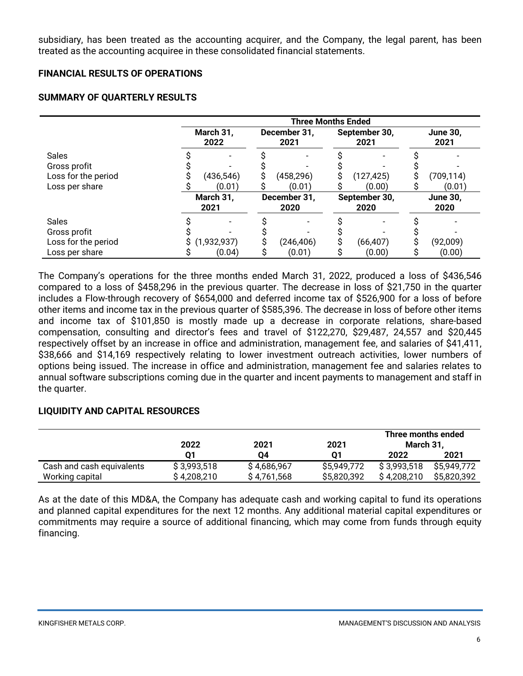subsidiary, has been treated as the accounting acquirer, and the Company, the legal parent, has been treated as the accounting acquiree in these consolidated financial statements.

#### **FINANCIAL RESULTS OF OPERATIONS**

#### **SUMMARY OF QUARTERLY RESULTS**

|                                                                       | <b>Three Months Ended</b> |                                               |                         |  |  |  |
|-----------------------------------------------------------------------|---------------------------|-----------------------------------------------|-------------------------|--|--|--|
|                                                                       | March 31,<br>2022         | December 31,<br>September 30,<br>2021<br>2021 | <b>June 30,</b><br>2021 |  |  |  |
| <b>Sales</b><br>Gross profit<br>Loss for the period<br>Loss per share | (436,546)<br>(0.01)       | (458,296)<br>(127, 425)<br>(0.01)<br>(0.00)   | (709, 114)<br>(0.01)    |  |  |  |
|                                                                       | March 31,<br>2021         | December 31,<br>September 30,<br>2020<br>2020 | <b>June 30,</b><br>2020 |  |  |  |
| <b>Sales</b><br>Gross profit<br>Loss for the period<br>Loss per share | (1,932,937)<br>(0.04)     | (246, 406)<br>(66, 407)<br>(0.01)<br>(0.00)   | (92,009)<br>(0.00)      |  |  |  |

The Company's operations for the three months ended March 31, 2022, produced a loss of \$436,546 compared to a loss of \$458,296 in the previous quarter. The decrease in loss of \$21,750 in the quarter includes a Flow-through recovery of \$654,000 and deferred income tax of \$526,900 for a loss of before other items and income tax in the previous quarter of \$585,396. The decrease in loss of before other items and income tax of \$101,850 is mostly made up a decrease in corporate relations, share-based compensation, consulting and director's fees and travel of \$122,270, \$29,487, 24,557 and \$20,445 respectively offset by an increase in office and administration, management fee, and salaries of \$41,411, \$38,666 and \$14,169 respectively relating to lower investment outreach activities, lower numbers of options being issued. The increase in office and administration, management fee and salaries relates to annual software subscriptions coming due in the quarter and incent payments to management and staff in the quarter.

#### **LIQUIDITY AND CAPITAL RESOURCES**

|                           | 2022        | 2021        | 2021        | Three months ended<br>March 31. |             |
|---------------------------|-------------|-------------|-------------|---------------------------------|-------------|
|                           |             | 04          | 01          | 2022                            | 2021        |
| Cash and cash equivalents | \$3,993,518 | \$4,686,967 | \$5,949,772 | \$3,993,518                     | \$5.949.772 |
| Working capital           | \$4,208,210 | \$4,761,568 | \$5,820,392 | \$4,208,210                     | \$5,820,392 |

As at the date of this MD&A, the Company has adequate cash and working capital to fund its operations and planned capital expenditures for the next 12 months. Any additional material capital expenditures or commitments may require a source of additional financing, which may come from funds through equity financing.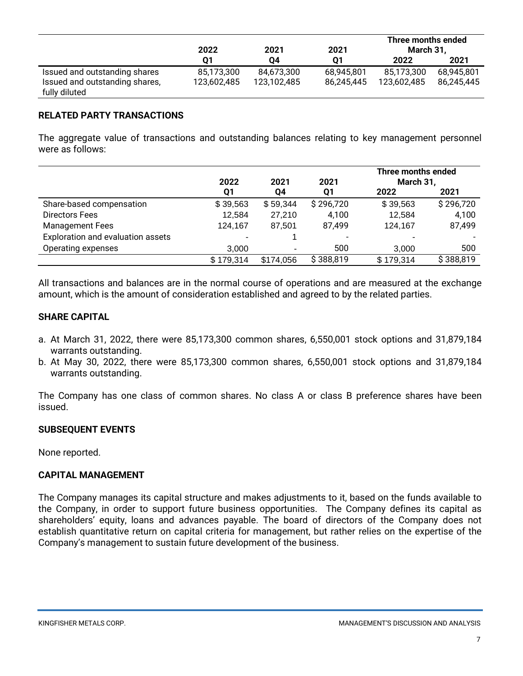|                                | 2022        | 2021<br>2021 | Three months ended<br>March 31. |             |            |
|--------------------------------|-------------|--------------|---------------------------------|-------------|------------|
|                                | 01          | 04           | 01                              | 2022        | 2021       |
| Issued and outstanding shares  | 85,173,300  | 84,673,300   | 68,945,801                      | 85,173,300  | 68,945,801 |
| Issued and outstanding shares, | 123,602,485 | 123,102,485  | 86,245,445                      | 123,602,485 | 86,245,445 |
| fully diluted                  |             |              |                                 |             |            |

#### **RELATED PARTY TRANSACTIONS**

The aggregate value of transactions and outstanding balances relating to key management personnel were as follows:

|                                   | 2022      | 2021      | 2021      | Three months ended<br>March 31, |           |
|-----------------------------------|-----------|-----------|-----------|---------------------------------|-----------|
|                                   | Q1        | Q4        | Q1        | 2022                            | 2021      |
| Share-based compensation          | \$39,563  | \$59,344  | \$296,720 | \$39,563                        | \$296,720 |
| Directors Fees                    | 12,584    | 27,210    | 4,100     | 12,584                          | 4,100     |
| <b>Management Fees</b>            | 124,167   | 87.501    | 87,499    | 124,167                         | 87,499    |
| Exploration and evaluation assets |           |           |           |                                 |           |
| Operating expenses                | 3.000     | ٠         | 500       | 3.000                           | 500       |
|                                   | \$179,314 | \$174,056 | \$388,819 | \$179,314                       | \$388,819 |

All transactions and balances are in the normal course of operations and are measured at the exchange amount, which is the amount of consideration established and agreed to by the related parties.

#### **SHARE CAPITAL**

- a. At March 31, 2022, there were 85,173,300 common shares, 6,550,001 stock options and 31,879,184 warrants outstanding.
- b. At May 30, 2022, there were 85,173,300 common shares, 6,550,001 stock options and 31,879,184 warrants outstanding.

The Company has one class of common shares. No class A or class B preference shares have been issued.

#### **SUBSEQUENT EVENTS**

None reported.

#### **CAPITAL MANAGEMENT**

The Company manages its capital structure and makes adjustments to it, based on the funds available to the Company, in order to support future business opportunities. The Company defines its capital as shareholders' equity, loans and advances payable. The board of directors of the Company does not establish quantitative return on capital criteria for management, but rather relies on the expertise of the Company's management to sustain future development of the business.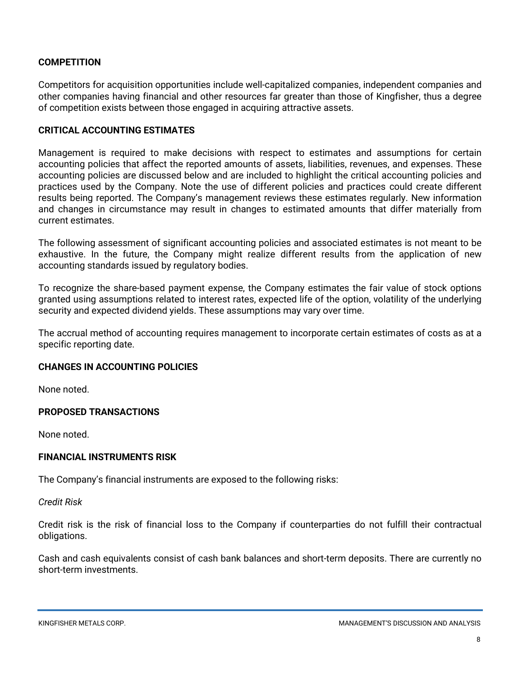#### **COMPETITION**

Competitors for acquisition opportunities include well-capitalized companies, independent companies and other companies having financial and other resources far greater than those of Kingfisher, thus a degree of competition exists between those engaged in acquiring attractive assets.

#### **CRITICAL ACCOUNTING ESTIMATES**

Management is required to make decisions with respect to estimates and assumptions for certain accounting policies that affect the reported amounts of assets, liabilities, revenues, and expenses. These accounting policies are discussed below and are included to highlight the critical accounting policies and practices used by the Company. Note the use of different policies and practices could create different results being reported. The Company's management reviews these estimates regularly. New information and changes in circumstance may result in changes to estimated amounts that differ materially from current estimates.

The following assessment of significant accounting policies and associated estimates is not meant to be exhaustive. In the future, the Company might realize different results from the application of new accounting standards issued by regulatory bodies.

To recognize the share-based payment expense, the Company estimates the fair value of stock options granted using assumptions related to interest rates, expected life of the option, volatility of the underlying security and expected dividend yields. These assumptions may vary over time.

The accrual method of accounting requires management to incorporate certain estimates of costs as at a specific reporting date.

#### **CHANGES IN ACCOUNTING POLICIES**

None noted.

#### **PROPOSED TRANSACTIONS**

None noted.

#### **FINANCIAL INSTRUMENTS RISK**

The Company's financial instruments are exposed to the following risks:

*Credit Risk*

Credit risk is the risk of financial loss to the Company if counterparties do not fulfill their contractual obligations.

Cash and cash equivalents consist of cash bank balances and short-term deposits. There are currently no short-term investments.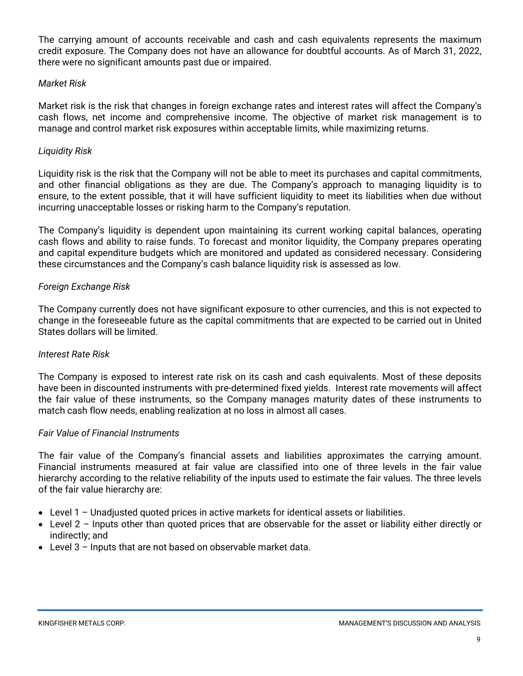The carrying amount of accounts receivable and cash and cash equivalents represents the maximum credit exposure. The Company does not have an allowance for doubtful accounts. As of March 31, 2022, there were no significant amounts past due or impaired.

#### *Market Risk*

Market risk is the risk that changes in foreign exchange rates and interest rates will affect the Company's cash flows, net income and comprehensive income. The objective of market risk management is to manage and control market risk exposures within acceptable limits, while maximizing returns.

#### *Liquidity Risk*

Liquidity risk is the risk that the Company will not be able to meet its purchases and capital commitments, and other financial obligations as they are due. The Company's approach to managing liquidity is to ensure, to the extent possible, that it will have sufficient liquidity to meet its liabilities when due without incurring unacceptable losses or risking harm to the Company's reputation.

The Company's liquidity is dependent upon maintaining its current working capital balances, operating cash flows and ability to raise funds. To forecast and monitor liquidity, the Company prepares operating and capital expenditure budgets which are monitored and updated as considered necessary. Considering these circumstances and the Company's cash balance liquidity risk is assessed as low.

#### *Foreign Exchange Risk*

The Company currently does not have significant exposure to other currencies, and this is not expected to change in the foreseeable future as the capital commitments that are expected to be carried out in United States dollars will be limited.

#### *Interest Rate Risk*

The Company is exposed to interest rate risk on its cash and cash equivalents. Most of these deposits have been in discounted instruments with pre-determined fixed yields. Interest rate movements will affect the fair value of these instruments, so the Company manages maturity dates of these instruments to match cash flow needs, enabling realization at no loss in almost all cases.

#### *Fair Value of Financial Instruments*

The fair value of the Company's financial assets and liabilities approximates the carrying amount. Financial instruments measured at fair value are classified into one of three levels in the fair value hierarchy according to the relative reliability of the inputs used to estimate the fair values. The three levels of the fair value hierarchy are:

- Level 1 Unadjusted quoted prices in active markets for identical assets or liabilities.
- Level 2 Inputs other than quoted prices that are observable for the asset or liability either directly or indirectly; and
- Level 3 Inputs that are not based on observable market data.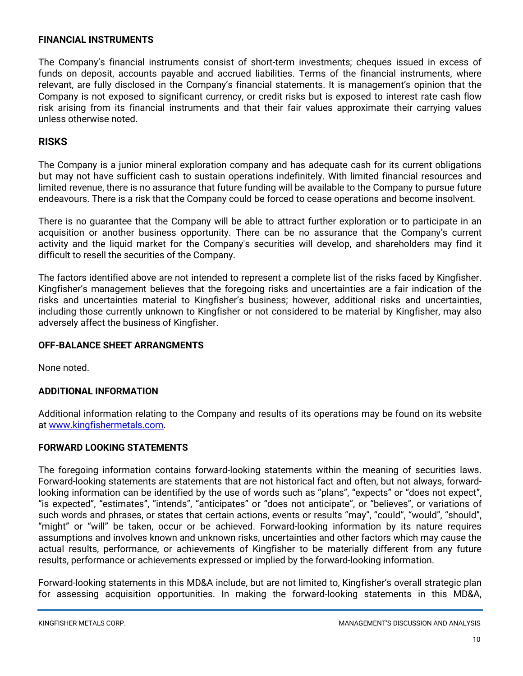#### **FINANCIAL INSTRUMENTS**

The Company's financial instruments consist of short-term investments; cheques issued in excess of funds on deposit, accounts payable and accrued liabilities. Terms of the financial instruments, where relevant, are fully disclosed in the Company's financial statements. It is management's opinion that the Company is not exposed to significant currency, or credit risks but is exposed to interest rate cash flow risk arising from its financial instruments and that their fair values approximate their carrying values unless otherwise noted.

#### **RISKS**

The Company is a junior mineral exploration company and has adequate cash for its current obligations but may not have sufficient cash to sustain operations indefinitely. With limited financial resources and limited revenue, there is no assurance that future funding will be available to the Company to pursue future endeavours. There is a risk that the Company could be forced to cease operations and become insolvent.

There is no guarantee that the Company will be able to attract further exploration or to participate in an acquisition or another business opportunity. There can be no assurance that the Company's current activity and the liquid market for the Company's securities will develop, and shareholders may find it difficult to resell the securities of the Company.

The factors identified above are not intended to represent a complete list of the risks faced by Kingfisher. Kingfisher's management believes that the foregoing risks and uncertainties are a fair indication of the risks and uncertainties material to Kingfisher's business; however, additional risks and uncertainties, including those currently unknown to Kingfisher or not considered to be material by Kingfisher, may also adversely affect the business of Kingfisher.

#### **OFF-BALANCE SHEET ARRANGMENTS**

None noted.

#### **ADDITIONAL INFORMATION**

Additional information relating to the Company and results of its operations may be found on its website at [www.kingfishermetals.com.](http://www.kingfishermetals.com/)

#### **FORWARD LOOKING STATEMENTS**

The foregoing information contains forward-looking statements within the meaning of securities laws. Forward-looking statements are statements that are not historical fact and often, but not always, forwardlooking information can be identified by the use of words such as "plans", "expects" or "does not expect", "is expected", "estimates", "intends", "anticipates" or "does not anticipate", or "believes", or variations of such words and phrases, or states that certain actions, events or results "may", "could", "would", "should", "might" or "will" be taken, occur or be achieved. Forward-looking information by its nature requires assumptions and involves known and unknown risks, uncertainties and other factors which may cause the actual results, performance, or achievements of Kingfisher to be materially different from any future results, performance or achievements expressed or implied by the forward-looking information.

Forward-looking statements in this MD&A include, but are not limited to, Kingfisher's overall strategic plan for assessing acquisition opportunities. In making the forward-looking statements in this MD&A,